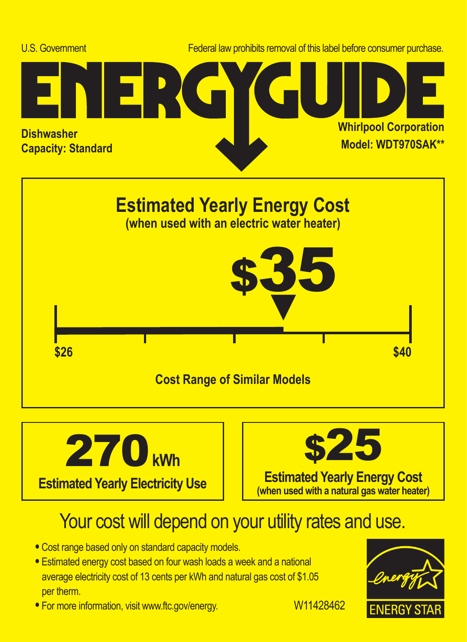





# Your cost will depend on your utility rates and use.

- **•** Cost range based only on standard capacity models.
- **•** Estimated energy cost based on four wash loads a week and a national average electricity cost of 13 cents per kWh and natural gas cost of \$1.05 per therm.
- For more information, visit www.ftc.gov/energy. W11428462